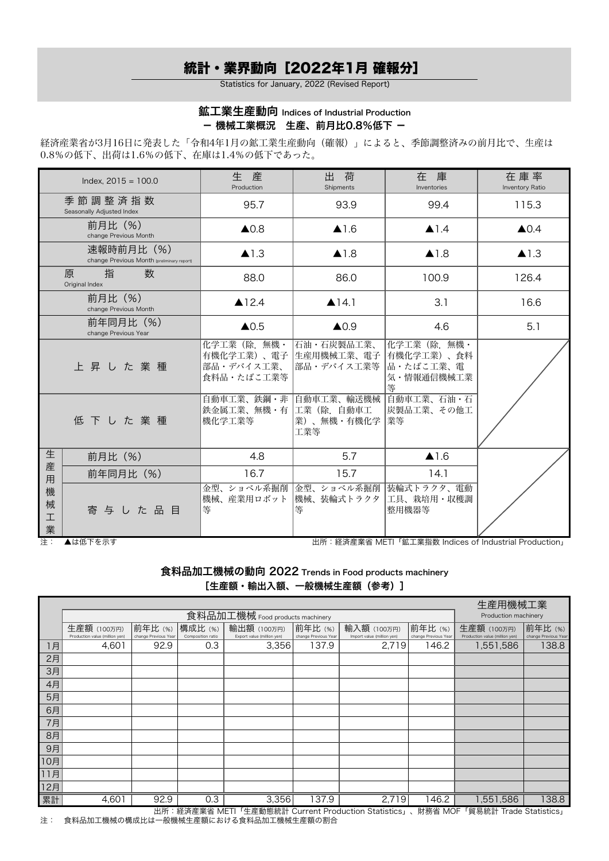# 統計・業界動向[2022年1月 確報分]

Statistics for January, 2022 (Revised Report)

## 鉱工業生産動向 Indices of Industrial Production - 機械工業概況 生産、前月比0.8%低下 -

経済産業省が3月16日に発表した「令和4年1月の鉱工業生産動向(確報)」によると、季節調整済みの前月比で、生産は 0.8%の低下、出荷は1.6%の低下、在庫は1.4%の低下であった。

|                            | Index, $2015 = 100.0$                                    | 生<br>産<br>Production                                 | 出<br>荷<br>Shipments                                   | 在 庫<br>Inventories                                        | 在庫率<br>Inventory Ratio |
|----------------------------|----------------------------------------------------------|------------------------------------------------------|-------------------------------------------------------|-----------------------------------------------------------|------------------------|
|                            | 季節調整済指数<br>Seasonally Adjusted Index                     | 95.7                                                 | 93.9                                                  | 99.4                                                      | 115.3                  |
|                            | 前月比(%)<br>change Previous Month                          | $\triangle$ 0.8                                      | $\blacktriangle$ 1.6                                  | $\triangle$ 1.4                                           | $\triangle$ 0.4        |
|                            | 速報時前月比 (%)<br>change Previous Month (preliminary report) | $\blacktriangle$ 1.3                                 | $\blacktriangle$ 1.8                                  | $\blacktriangle$ 1.8                                      | $\blacktriangle$ 1.3   |
|                            | 指<br>数<br>原<br>Original Index                            | 88.0                                                 | 86.0                                                  | 100.9                                                     | 126.4                  |
|                            | 前月比(%)<br>change Previous Month                          | ▲12.4                                                | $\triangle$ 14.1                                      | 3.1                                                       | 16.6                   |
|                            | 前年同月比 (%)<br>change Previous Year                        | $\triangle$ 0.5                                      | $\triangle$ 0.9                                       | 4.6                                                       | 5.1                    |
|                            | 上昇した業種                                                   | 化学工業(除、無機・<br>有機化学工業)、電子<br>部品・デバイス工業、<br>食料品・たばこ工業等 | 石油・石炭製品工業、<br> 生産用機械工業、電子<br>部品・デバイス工業等               | 化学工業(除、無機・<br>有機化学工業)、食料<br> 品・たばこ工業、電<br>気・情報通信機械工業<br>等 |                        |
|                            | 低下した業種                                                   | 鉄金属工業、無機・有  工業(除.自動車工<br>機化学工業等                      | 自動車工業、鉄鋼・非 自動車工業、輸送機械 自動車工業、石油・石<br>業)、無機·有機化学<br>工業等 | 炭製品工業、その他工<br> 業等                                         |                        |
| 生                          | 前月比 (%)                                                  | 4.8                                                  | 5.7                                                   | $\triangle$ 1.6                                           |                        |
| 産<br>用<br>機<br>械<br>工<br>業 | 前年同月比 (%)                                                | 16.7                                                 | 15.7                                                  | 14.1                                                      |                        |
|                            | 寄与した品目                                                   | 金型、ショベル系掘削<br>機械、産業用ロボット<br>等                        | 金型、ショベル系掘削<br>機械、装輪式トラクタ<br>等                         | 装輪式トラクタ、電動<br> 工具、栽培用・収穫調<br>整用機器等                        |                        |

注: ▲は低下を示す 出所:経済産業省 METI「鉱工業指数 Indices of Industrial Production」

食料品加工機械の動向 2022 Trends in Food products machinery [生産額・輸出入額、一般機械生産額 (参考)]

|     |                                | 生産用機械工業              |                   |                            |                      |                            |                      |                                |                      |
|-----|--------------------------------|----------------------|-------------------|----------------------------|----------------------|----------------------------|----------------------|--------------------------------|----------------------|
|     |                                | Production machinery |                   |                            |                      |                            |                      |                                |                      |
|     | 生産額 (100万円)                    | 前年比(%)               | 構成比 (%)           | 輸出額 (100万円)                | 前年比(%)               | 輸入額 (100万円)                | 前年比(%)               | 生産額 (100万円)                    | 前年比(%)               |
|     | Production value (million yen) | change Previous Year | Composition ratio | Export value (million yen) | change Previous Year | Import value (million yen) | change Previous Year | Production value (million yen) | change Previous Year |
| 1月  | 4,601                          | 92.9                 | 0.3               | 3,356                      | 137.9                | 2,719                      | 146.2                | 1,551,586                      | 138.8                |
| 2月  |                                |                      |                   |                            |                      |                            |                      |                                |                      |
| 3月  |                                |                      |                   |                            |                      |                            |                      |                                |                      |
| 4月  |                                |                      |                   |                            |                      |                            |                      |                                |                      |
| 5月  |                                |                      |                   |                            |                      |                            |                      |                                |                      |
| 6月  |                                |                      |                   |                            |                      |                            |                      |                                |                      |
| 7月  |                                |                      |                   |                            |                      |                            |                      |                                |                      |
| 8月  |                                |                      |                   |                            |                      |                            |                      |                                |                      |
| 9月  |                                |                      |                   |                            |                      |                            |                      |                                |                      |
| 10月 |                                |                      |                   |                            |                      |                            |                      |                                |                      |
| 11月 |                                |                      |                   |                            |                      |                            |                      |                                |                      |
| 12月 |                                |                      |                   |                            |                      |                            |                      |                                |                      |
| 累計  | 4,601                          | 92.9                 | 0.3               | 3,356                      | 137.9                | 2,719                      | 146.2                | 1,551,586                      | 138.8                |

出所:経済産業省 METI「生産動態統計 Current Production Statistics」、財務省 MOF「貿易統計 Trade Statistics」 注: 食料品加工機械の構成比は一般機械生産額における食料品加工機械生産額の割合